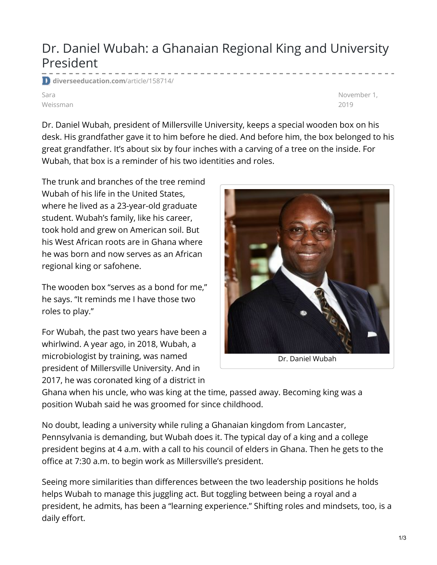## Dr. Daniel Wubah: a Ghanaian Regional King and University President

**[diverseeducation.com](https://diverseeducation.com/article/158714/)**/article/158714/

Sara Weissman November 1, 2019

Dr. Daniel Wubah, president of Millersville University, keeps a special wooden box on his desk. His grandfather gave it to him before he died. And before him, the box belonged to his great grandfather. It's about six by four inches with a carving of a tree on the inside. For Wubah, that box is a reminder of his two identities and roles.

The trunk and branches of the tree remind Wubah of his life in the United States, where he lived as a 23-year-old graduate student. Wubah's family, like his career, took hold and grew on American soil. But his West African roots are in Ghana where he was born and now serves as an African regional king or safohene.

The wooden box "serves as a bond for me," he says. "It reminds me I have those two roles to play."

For Wubah, the past two years have been a whirlwind. A year ago, in 2018, Wubah, a microbiologist by training, was named president of Millersville University. And in 2017, he was coronated king of a district in



Ghana when his uncle, who was king at the time, passed away. Becoming king was a position Wubah said he was groomed for since childhood.

No doubt, leading a university while ruling a Ghanaian kingdom from Lancaster, Pennsylvania is demanding, but Wubah does it. The typical day of a king and a college president begins at 4 a.m. with a call to his council of elders in Ghana. Then he gets to the office at 7:30 a.m. to begin work as Millersville's president.

Seeing more similarities than differences between the two leadership positions he holds helps Wubah to manage this juggling act. But toggling between being a royal and a president, he admits, has been a "learning experience." Shifting roles and mindsets, too, is a daily effort.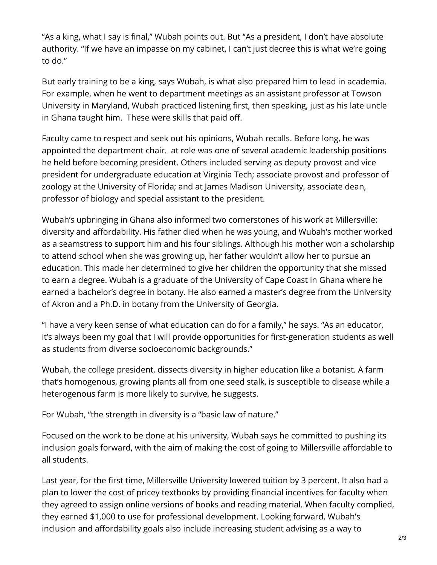"As a king, what I say is final," Wubah points out. But "As a president, I don't have absolute authority. "If we have an impasse on my cabinet, I can't just decree this is what we're going to do."

But early training to be a king, says Wubah, is what also prepared him to lead in academia. For example, when he went to department meetings as an assistant professor at Towson University in Maryland, Wubah practiced listening first, then speaking, just as his late uncle in Ghana taught him. These were skills that paid off.

Faculty came to respect and seek out his opinions, Wubah recalls. Before long, he was appointed the department chair. at role was one of several academic leadership positions he held before becoming president. Others included serving as deputy provost and vice president for undergraduate education at Virginia Tech; associate provost and professor of zoology at the University of Florida; and at James Madison University, associate dean, professor of biology and special assistant to the president.

Wubah's upbringing in Ghana also informed two cornerstones of his work at Millersville: diversity and affordability. His father died when he was young, and Wubah's mother worked as a seamstress to support him and his four siblings. Although his mother won a scholarship to attend school when she was growing up, her father wouldn't allow her to pursue an education. This made her determined to give her children the opportunity that she missed to earn a degree. Wubah is a graduate of the University of Cape Coast in Ghana where he earned a bachelor's degree in botany. He also earned a master's degree from the University of Akron and a Ph.D. in botany from the University of Georgia.

"I have a very keen sense of what education can do for a family," he says. "As an educator, it's always been my goal that I will provide opportunities for first-generation students as well as students from diverse socioeconomic backgrounds."

Wubah, the college president, dissects diversity in higher education like a botanist. A farm that's homogenous, growing plants all from one seed stalk, is susceptible to disease while a heterogenous farm is more likely to survive, he suggests.

For Wubah, "the strength in diversity is a "basic law of nature."

Focused on the work to be done at his university, Wubah says he committed to pushing its inclusion goals forward, with the aim of making the cost of going to Millersville affordable to all students.

Last year, for the first time, Millersville University lowered tuition by 3 percent. It also had a plan to lower the cost of pricey textbooks by providing financial incentives for faculty when they agreed to assign online versions of books and reading material. When faculty complied, they earned \$1,000 to use for professional development. Looking forward, Wubah's inclusion and affordability goals also include increasing student advising as a way to